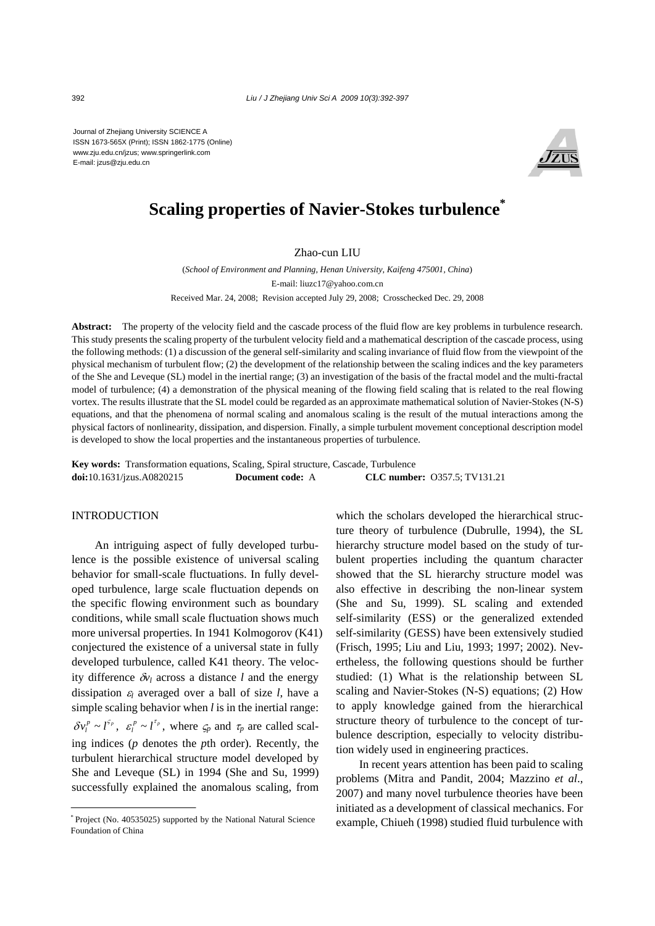Journal of Zhejiang University SCIENCE A ISSN 1673-565X (Print); ISSN 1862-1775 (Online) www.zju.edu.cn/jzus; www.springerlink.com E-mail: jzus@zju.edu.cn



# **Scaling properties of Navier-Stokes turbulence\***

#### Zhao-cun LIU

(*School of Environment and Planning, Henan University, Kaifeng 475001, China*) E-mail: liuzc17@yahoo.com.cn Received Mar. 24, 2008; Revision accepted July 29, 2008; Crosschecked Dec. 29, 2008

**Abstract:** The property of the velocity field and the cascade process of the fluid flow are key problems in turbulence research. This study presents the scaling property of the turbulent velocity field and a mathematical description of the cascade process, using the following methods: (1) a discussion of the general self-similarity and scaling invariance of fluid flow from the viewpoint of the physical mechanism of turbulent flow; (2) the development of the relationship between the scaling indices and the key parameters of the She and Leveque (SL) model in the inertial range; (3) an investigation of the basis of the fractal model and the multi-fractal model of turbulence; (4) a demonstration of the physical meaning of the flowing field scaling that is related to the real flowing vortex. The results illustrate that the SL model could be regarded as an approximate mathematical solution of Navier-Stokes (N-S) equations, and that the phenomena of normal scaling and anomalous scaling is the result of the mutual interactions among the physical factors of nonlinearity, dissipation, and dispersion. Finally, a simple turbulent movement conceptional description model is developed to show the local properties and the instantaneous properties of turbulence.

**Key words:** Transformation equations, Scaling, Spiral structure, Cascade, Turbulence **doi:**10.1631/jzus.A0820215 **Document code:** A **CLC number:** O357.5; TV131.21

#### **INTRODUCTION**

An intriguing aspect of fully developed turbulence is the possible existence of universal scaling behavior for small-scale fluctuations. In fully developed turbulence, large scale fluctuation depends on the specific flowing environment such as boundary conditions, while small scale fluctuation shows much more universal properties. In 1941 Kolmogorov (K41) conjectured the existence of a universal state in fully developed turbulence, called K41 theory. The velocity difference  $\delta v_l$  across a distance *l* and the energy dissipation <sup>ε</sup>*l* averaged over a ball of size *l*, have a simple scaling behavior when *l* is in the inertial range:  $\delta v_l^p \sim l^{\epsilon_p}$ ,  $\varepsilon_l^p \sim l^{\epsilon_p}$ , where  $\varsigma_p$  and  $\tau_p$  are called scaling indices (*p* denotes the *p*th order). Recently, the turbulent hierarchical structure model developed by She and Leveque (SL) in 1994 (She and Su, 1999) successfully explained the anomalous scaling, from

which the scholars developed the hierarchical structure theory of turbulence (Dubrulle, 1994), the SL hierarchy structure model based on the study of turbulent properties including the quantum character showed that the SL hierarchy structure model was also effective in describing the non-linear system (She and Su, 1999). SL scaling and extended self-similarity (ESS) or the generalized extended self-similarity (GESS) have been extensively studied (Frisch, 1995; Liu and Liu, 1993; 1997; 2002). Nevertheless, the following questions should be further studied: (1) What is the relationship between SL scaling and Navier-Stokes (N-S) equations; (2) How to apply knowledge gained from the hierarchical structure theory of turbulence to the concept of turbulence description, especially to velocity distribution widely used in engineering practices.

In recent years attention has been paid to scaling problems (Mitra and Pandit, 2004; Mazzino *et al*., 2007) and many novel turbulence theories have been initiated as a development of classical mechanics. For example, Chiueh (1998) studied fluid turbulence with

<sup>\*</sup> Project (No. 40535025) supported by the National Natural Science Foundation of China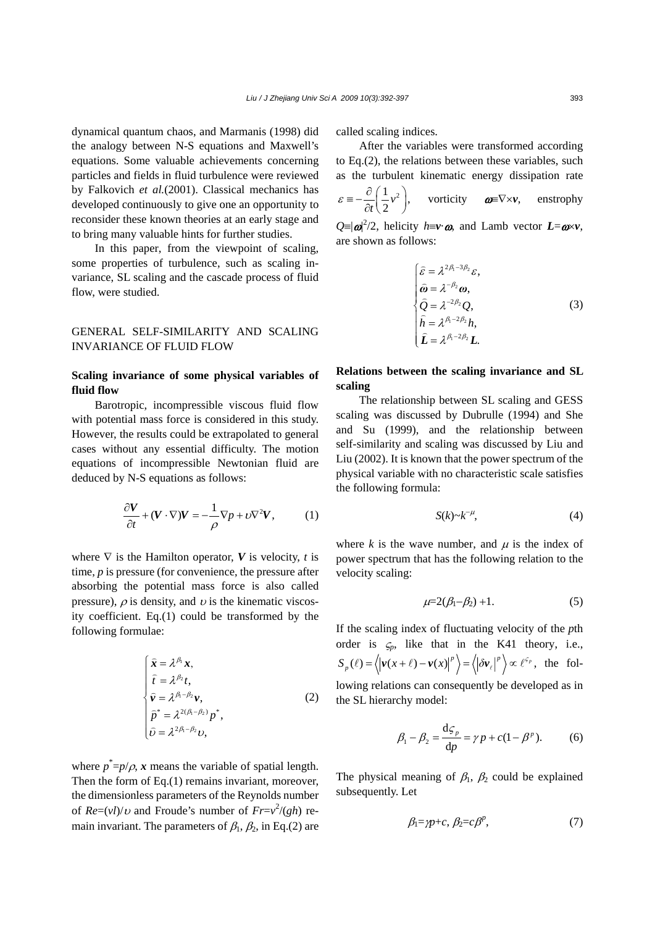dynamical quantum chaos, and Marmanis (1998) did the analogy between N-S equations and Maxwell's equations. Some valuable achievements concerning particles and fields in fluid turbulence were reviewed by Falkovich *et al.*(2001). Classical mechanics has developed continuously to give one an opportunity to reconsider these known theories at an early stage and to bring many valuable hints for further studies.

In this paper, from the viewpoint of scaling, some properties of turbulence, such as scaling invariance, SL scaling and the cascade process of fluid flow, were studied.

## GENERAL SELF-SIMILARITY AND SCALING INVARIANCE OF FLUID FLOW

## **Scaling invariance of some physical variables of fluid flow**

Barotropic, incompressible viscous fluid flow with potential mass force is considered in this study. However, the results could be extrapolated to general cases without any essential difficulty. The motion equations of incompressible Newtonian fluid are deduced by N-S equations as follows:

$$
\frac{\partial V}{\partial t} + (V \cdot \nabla)V = -\frac{1}{\rho} \nabla p + \nu \nabla^2 V, \qquad (1)
$$

where  $\nabla$  is the Hamilton operator, *V* is velocity, *t* is time, *p* is pressure (for convenience, the pressure after absorbing the potential mass force is also called pressure),  $\rho$  is density, and  $\nu$  is the kinematic viscosity coefficient. Eq.(1) could be transformed by the following formulae:

$$
\begin{cases}\n\hat{x} = \lambda^{\beta_1} x, \n\hat{t} = \lambda^{\beta_2} t, \n\hat{v} = \lambda^{\beta_1 - \beta_2} v, \n\hat{p}^* = \lambda^{2(\beta_1 - \beta_2)} p^*, \n\hat{v} = \lambda^{2\beta_1 - \beta_2} v, \n\end{cases}
$$
\n(2)

where  $p^* = p/\rho$ , *x* means the variable of spatial length. Then the form of Eq.(1) remains invariant, moreover, the dimensionless parameters of the Reynolds number of  $Re = (vl)/v$  and Froude's number of  $Fr = v^2/(gh)$  remain invariant. The parameters of  $\beta_1$ ,  $\beta_2$ , in Eq.(2) are

called scaling indices.

After the variables were transformed according to Eq.(2), the relations between these variables, such as the turbulent kinematic energy dissipation rate  $\frac{1}{2}v^2\bigg),$  $\mathcal{E} \equiv -\frac{\partial}{\partial t}$  $\equiv -\frac{\partial}{\partial t} \left( \frac{1}{2} v^2 \right)$ , vorticity  $\omega = \nabla \times v$ , enstrophy  $Q \equiv |\boldsymbol{\omega}|^2/2$ , helicity *h*≡*v*· $\boldsymbol{\omega}$ , and Lamb vector  $\boldsymbol{L} = \boldsymbol{\omega} \times \boldsymbol{v}$ , are shown as follows:

$$
\begin{cases}\n\hat{\varepsilon} = \lambda^{2\beta_1 - 3\beta_2} \varepsilon, \\
\hat{\omega} = \lambda^{-\beta_2} \omega, \\
\hat{Q} = \lambda^{-2\beta_2} Q, \\
\hat{h} = \lambda^{\beta_1 - 2\beta_2} h, \\
\hat{L} = \lambda^{\beta_1 - 2\beta_2} L.\n\end{cases}
$$
\n(3)

## **Relations between the scaling invariance and SL scaling**

The relationship between SL scaling and GESS scaling was discussed by Dubrulle (1994) and She and Su (1999), and the relationship between self-similarity and scaling was discussed by Liu and Liu (2002). It is known that the power spectrum of the physical variable with no characteristic scale satisfies the following formula:

$$
S(k) \sim k^{-\mu}, \tag{4}
$$

where *k* is the wave number, and  $\mu$  is the index of power spectrum that has the following relation to the velocity scaling:

$$
\mu=2(\beta_1-\beta_2)+1.
$$
 (5)

If the scaling index of fluctuating velocity of the *p*th order is  $\zeta_p$ , like that in the K41 theory, i.e.,  $S_p(\ell) = \langle |\mathbf{v}(x+\ell) - \mathbf{v}(x)|^p \rangle = \langle |\delta \mathbf{v}_\ell|^p \rangle \propto \ell^{\epsilon_p}$ , the following relations can consequently be developed as in the SL hierarchy model:

$$
\beta_1 - \beta_2 = \frac{\mathrm{d}\varsigma_p}{\mathrm{d}p} = \gamma p + c(1 - \beta^p). \tag{6}
$$

The physical meaning of  $\beta_1$ ,  $\beta_2$  could be explained subsequently. Let

$$
\beta_1 = \gamma p + c, \ \beta_2 = c \beta^p,\tag{7}
$$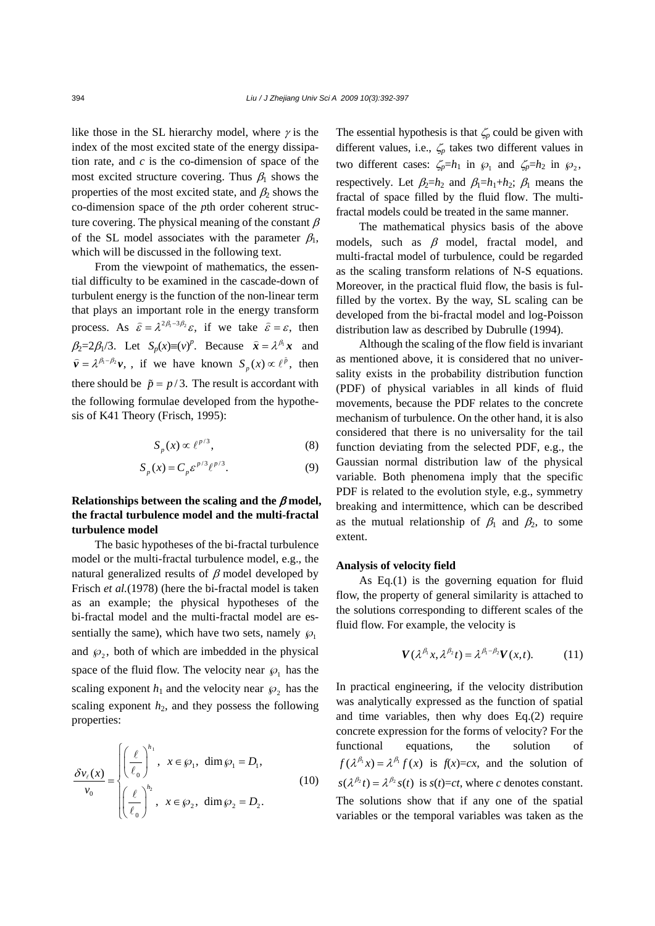like those in the SL hierarchy model, where  $\gamma$  is the index of the most excited state of the energy dissipation rate, and *c* is the co-dimension of space of the most excited structure covering. Thus  $\beta_1$  shows the properties of the most excited state, and  $\beta_2$  shows the co-dimension space of the *p*th order coherent structure covering. The physical meaning of the constant  $\beta$ of the SL model associates with the parameter  $\beta_1$ , which will be discussed in the following text.

From the viewpoint of mathematics, the essential difficulty to be examined in the cascade-down of turbulent energy is the function of the non-linear term that plays an important role in the energy transform process. As  $\hat{\varepsilon} = \lambda^{2\beta_1 - 3\beta_2} \varepsilon$ , if we take  $\hat{\varepsilon} = \varepsilon$ , then  $\beta_2 = 2\beta_1/3$ . Let  $S_p(x) \equiv (v)^p$ . Because  $\hat{x} = \lambda^{\beta_1} x$  and  $\hat{v} = \lambda^{\beta_1 - \beta_2} v$ , if we have known  $S_p(x) \propto \ell^{\tilde{p}}$ , then there should be  $\tilde{p} = p/3$ . The result is accordant with the following formulae developed from the hypothesis of K41 Theory (Frisch, 1995):

$$
S_p(x) \propto \ell^{p/3},\tag{8}
$$

$$
S_p(x) = C_p \varepsilon^{p/3} \ell^{p/3}.
$$
 (9)

## **Relationships between the scaling and the** β **model, the fractal turbulence model and the multi-fractal turbulence model**

The basic hypotheses of the bi-fractal turbulence model or the multi-fractal turbulence model, e.g., the natural generalized results of  $\beta$  model developed by Frisch *et al.*(1978) (here the bi-fractal model is taken as an example; the physical hypotheses of the bi-fractal model and the multi-fractal model are essentially the same), which have two sets, namely  $\wp_1$ and  $\mathfrak{\wp}_2$ , both of which are imbedded in the physical space of the fluid flow. The velocity near  $\wp_1$  has the scaling exponent  $h_1$  and the velocity near  $\wp_2$  has the scaling exponent  $h_2$ , and they possess the following properties:

$$
\frac{\delta v_{\ell}(x)}{v_0} = \begin{cases} \left(\frac{\ell}{\ell_0}\right)^{h_1}, & x \in \wp_1, \dim \wp_1 = D_1, \\ \left(\frac{\ell}{\ell_0}\right)^{h_2}, & x \in \wp_2, \dim \wp_2 = D_2. \end{cases}
$$
(10)

The essential hypothesis is that  $\zeta_p$  could be given with different values, i.e., ζ*p* takes two different values in two different cases:  $\zeta_p=h_1$  in  $\wp_1$  and  $\zeta_p=h_2$  in  $\wp_2$ , respectively. Let  $\beta_2=h_2$  and  $\beta_1=h_1+h_2$ ;  $\beta_1$  means the fractal of space filled by the fluid flow. The multifractal models could be treated in the same manner.

The mathematical physics basis of the above models, such as  $\beta$  model, fractal model, and multi-fractal model of turbulence, could be regarded as the scaling transform relations of N-S equations. Moreover, in the practical fluid flow, the basis is fulfilled by the vortex. By the way, SL scaling can be developed from the bi-fractal model and log-Poisson distribution law as described by Dubrulle (1994).

Although the scaling of the flow field is invariant as mentioned above, it is considered that no universality exists in the probability distribution function (PDF) of physical variables in all kinds of fluid movements, because the PDF relates to the concrete mechanism of turbulence. On the other hand, it is also considered that there is no universality for the tail function deviating from the selected PDF, e.g., the Gaussian normal distribution law of the physical variable. Both phenomena imply that the specific PDF is related to the evolution style, e.g., symmetry breaking and intermittence, which can be described as the mutual relationship of  $\beta_1$  and  $\beta_2$ , to some extent.

#### **Analysis of velocity field**

As Eq.(1) is the governing equation for fluid flow, the property of general similarity is attached to the solutions corresponding to different scales of the fluid flow. For example, the velocity is

$$
\mathbf{V}(\lambda^{\beta_1}x, \lambda^{\beta_2}t) = \lambda^{\beta_1 - \beta_2} \mathbf{V}(x, t). \tag{11}
$$

In practical engineering, if the velocity distribution was analytically expressed as the function of spatial and time variables, then why does Eq.(2) require concrete expression for the forms of velocity? For the functional equations, the solution of  $f(\lambda^{\beta_1}x) = \lambda^{\beta_1} f(x)$  is  $f(x)=cx$ , and the solution of  $s(\lambda^{\beta_2}t) = \lambda^{\beta_2} s(t)$  is  $s(t)=ct$ , where *c* denotes constant. The solutions show that if any one of the spatial variables or the temporal variables was taken as the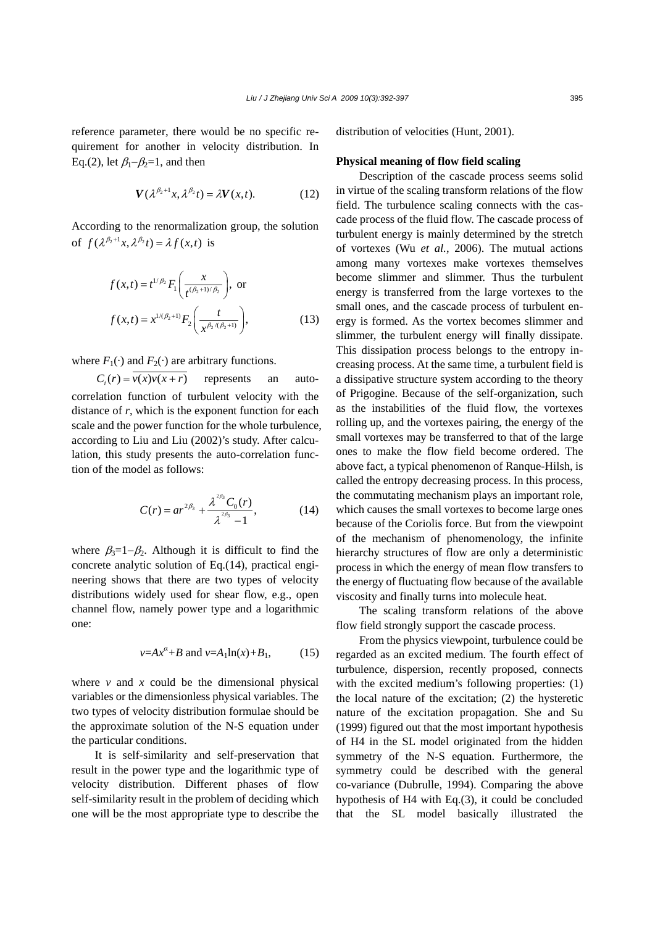reference parameter, there would be no specific requirement for another in velocity distribution. In Eq.(2), let  $\beta_1-\beta_2=1$ , and then

$$
\mathbf{V}(\lambda^{\beta_2+1}x,\lambda^{\beta_2}t) = \lambda \mathbf{V}(x,t). \tag{12}
$$

According to the renormalization group, the solution of  $f(\lambda^{\beta_2+1}x, \lambda^{\beta_2}t) = \lambda f(x,t)$  is

$$
f(x,t) = t^{1/\beta_2} F_1\left(\frac{x}{t^{(\beta_2+1)/\beta_2}}\right), \text{ or}
$$

$$
f(x,t) = x^{1/(\beta_2+1)} F_2\left(\frac{t}{x^{\beta_2/(\beta_2+1)}}\right), \tag{13}
$$

where  $F_1(\cdot)$  and  $F_2(\cdot)$  are arbitrary functions.

 $C_i(r) = \overline{v(x)v(x+r)}$  represents an autocorrelation function of turbulent velocity with the distance of *r*, which is the exponent function for each scale and the power function for the whole turbulence, according to Liu and Liu (2002)'s study. After calculation, this study presents the auto-correlation function of the model as follows:

$$
C(r) = ar^{2\beta_3} + \frac{\lambda^{2\beta_3} C_0(r)}{\lambda^{2\beta_3} - 1},
$$
 (14)

where  $\beta_3=1-\beta_2$ . Although it is difficult to find the concrete analytic solution of Eq.(14), practical engineering shows that there are two types of velocity distributions widely used for shear flow, e.g., open channel flow, namely power type and a logarithmic one:

$$
v = Ax^{\alpha} + B
$$
 and  $v = A_1 \ln(x) + B_1$ , (15)

where  $\nu$  and  $\chi$  could be the dimensional physical variables or the dimensionless physical variables. The two types of velocity distribution formulae should be the approximate solution of the N-S equation under the particular conditions.

It is self-similarity and self-preservation that result in the power type and the logarithmic type of velocity distribution. Different phases of flow self-similarity result in the problem of deciding which one will be the most appropriate type to describe the

distribution of velocities (Hunt, 2001).

#### **Physical meaning of flow field scaling**

Description of the cascade process seems solid in virtue of the scaling transform relations of the flow field. The turbulence scaling connects with the cascade process of the fluid flow. The cascade process of turbulent energy is mainly determined by the stretch of vortexes (Wu *et al.*, 2006). The mutual actions among many vortexes make vortexes themselves become slimmer and slimmer. Thus the turbulent energy is transferred from the large vortexes to the small ones, and the cascade process of turbulent energy is formed. As the vortex becomes slimmer and slimmer, the turbulent energy will finally dissipate. This dissipation process belongs to the entropy increasing process. At the same time, a turbulent field is a dissipative structure system according to the theory of Prigogine. Because of the self-organization, such as the instabilities of the fluid flow, the vortexes rolling up, and the vortexes pairing, the energy of the small vortexes may be transferred to that of the large ones to make the flow field become ordered. The above fact, a typical phenomenon of Ranque-Hilsh, is called the entropy decreasing process. In this process, the commutating mechanism plays an important role, which causes the small vortexes to become large ones because of the Coriolis force. But from the viewpoint of the mechanism of phenomenology, the infinite hierarchy structures of flow are only a deterministic process in which the energy of mean flow transfers to the energy of fluctuating flow because of the available viscosity and finally turns into molecule heat.

The scaling transform relations of the above flow field strongly support the cascade process.

From the physics viewpoint, turbulence could be regarded as an excited medium. The fourth effect of turbulence, dispersion, recently proposed, connects with the excited medium's following properties: (1) the local nature of the excitation; (2) the hysteretic nature of the excitation propagation. She and Su (1999) figured out that the most important hypothesis of H4 in the SL model originated from the hidden symmetry of the N-S equation. Furthermore, the symmetry could be described with the general co-variance (Dubrulle, 1994). Comparing the above hypothesis of H4 with Eq.(3), it could be concluded that the SL model basically illustrated the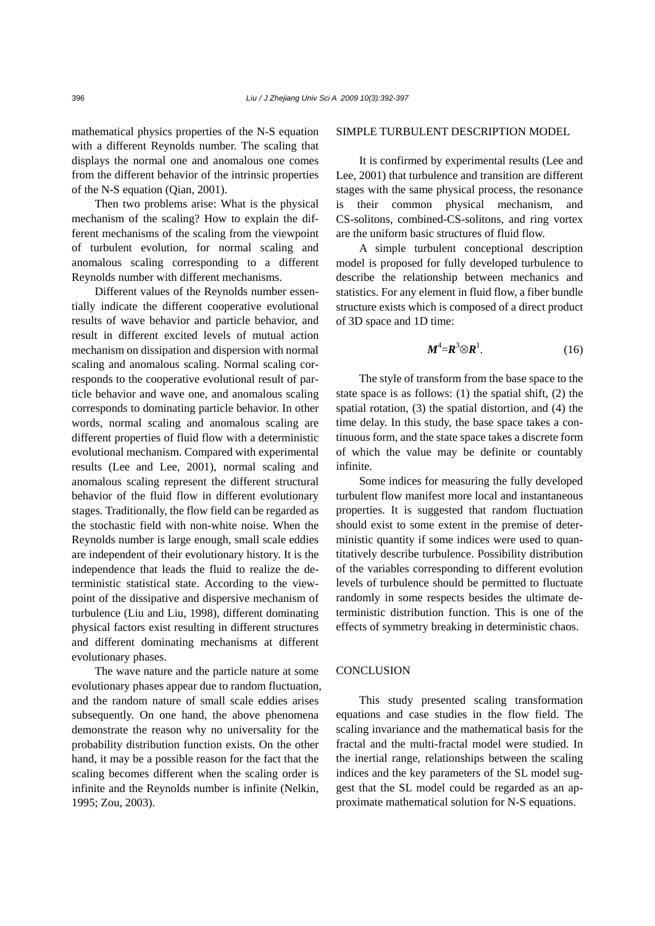mathematical physics properties of the N-S equation with a different Reynolds number. The scaling that displays the normal one and anomalous one comes from the different behavior of the intrinsic properties of the N-S equation (Qian, 2001).

Then two problems arise: What is the physical mechanism of the scaling? How to explain the different mechanisms of the scaling from the viewpoint of turbulent evolution, for normal scaling and anomalous scaling corresponding to a different Reynolds number with different mechanisms.

Different values of the Reynolds number essentially indicate the different cooperative evolutional results of wave behavior and particle behavior, and result in different excited levels of mutual action mechanism on dissipation and dispersion with normal scaling and anomalous scaling. Normal scaling corresponds to the cooperative evolutional result of particle behavior and wave one, and anomalous scaling corresponds to dominating particle behavior. In other words, normal scaling and anomalous scaling are different properties of fluid flow with a deterministic evolutional mechanism. Compared with experimental results (Lee and Lee, 2001), normal scaling and anomalous scaling represent the different structural behavior of the fluid flow in different evolutionary stages. Traditionally, the flow field can be regarded as the stochastic field with non-white noise. When the Reynolds number is large enough, small scale eddies are independent of their evolutionary history. It is the independence that leads the fluid to realize the deterministic statistical state. According to the viewpoint of the dissipative and dispersive mechanism of turbulence (Liu and Liu, 1998), different dominating physical factors exist resulting in different structures and different dominating mechanisms at different evolutionary phases.

The wave nature and the particle nature at some evolutionary phases appear due to random fluctuation, and the random nature of small scale eddies arises subsequently. On one hand, the above phenomena demonstrate the reason why no universality for the probability distribution function exists. On the other hand, it may be a possible reason for the fact that the scaling becomes different when the scaling order is infinite and the Reynolds number is infinite (Nelkin, 1995; Zou, 2003).

#### SIMPLE TURBULENT DESCRIPTION MODEL

It is confirmed by experimental results (Lee and Lee, 2001) that turbulence and transition are different stages with the same physical process, the resonance is their common physical mechanism, and CS-solitons, combined-CS-solitons, and ring vortex are the uniform basic structures of fluid flow.

A simple turbulent conceptional description model is proposed for fully developed turbulence to describe the relationship between mechanics and statistics. For any element in fluid flow, a fiber bundle structure exists which is composed of a direct product of 3D space and 1D time:

$$
M^4 = R^3 \otimes R^1. \tag{16}
$$

The style of transform from the base space to the state space is as follows: (1) the spatial shift, (2) the spatial rotation, (3) the spatial distortion, and (4) the time delay. In this study, the base space takes a continuous form, and the state space takes a discrete form of which the value may be definite or countably infinite.

Some indices for measuring the fully developed turbulent flow manifest more local and instantaneous properties. It is suggested that random fluctuation should exist to some extent in the premise of deterministic quantity if some indices were used to quantitatively describe turbulence. Possibility distribution of the variables corresponding to different evolution levels of turbulence should be permitted to fluctuate randomly in some respects besides the ultimate deterministic distribution function. This is one of the effects of symmetry breaking in deterministic chaos.

### **CONCLUSION**

This study presented scaling transformation equations and case studies in the flow field. The scaling invariance and the mathematical basis for the fractal and the multi-fractal model were studied. In the inertial range, relationships between the scaling indices and the key parameters of the SL model suggest that the SL model could be regarded as an approximate mathematical solution for N-S equations.